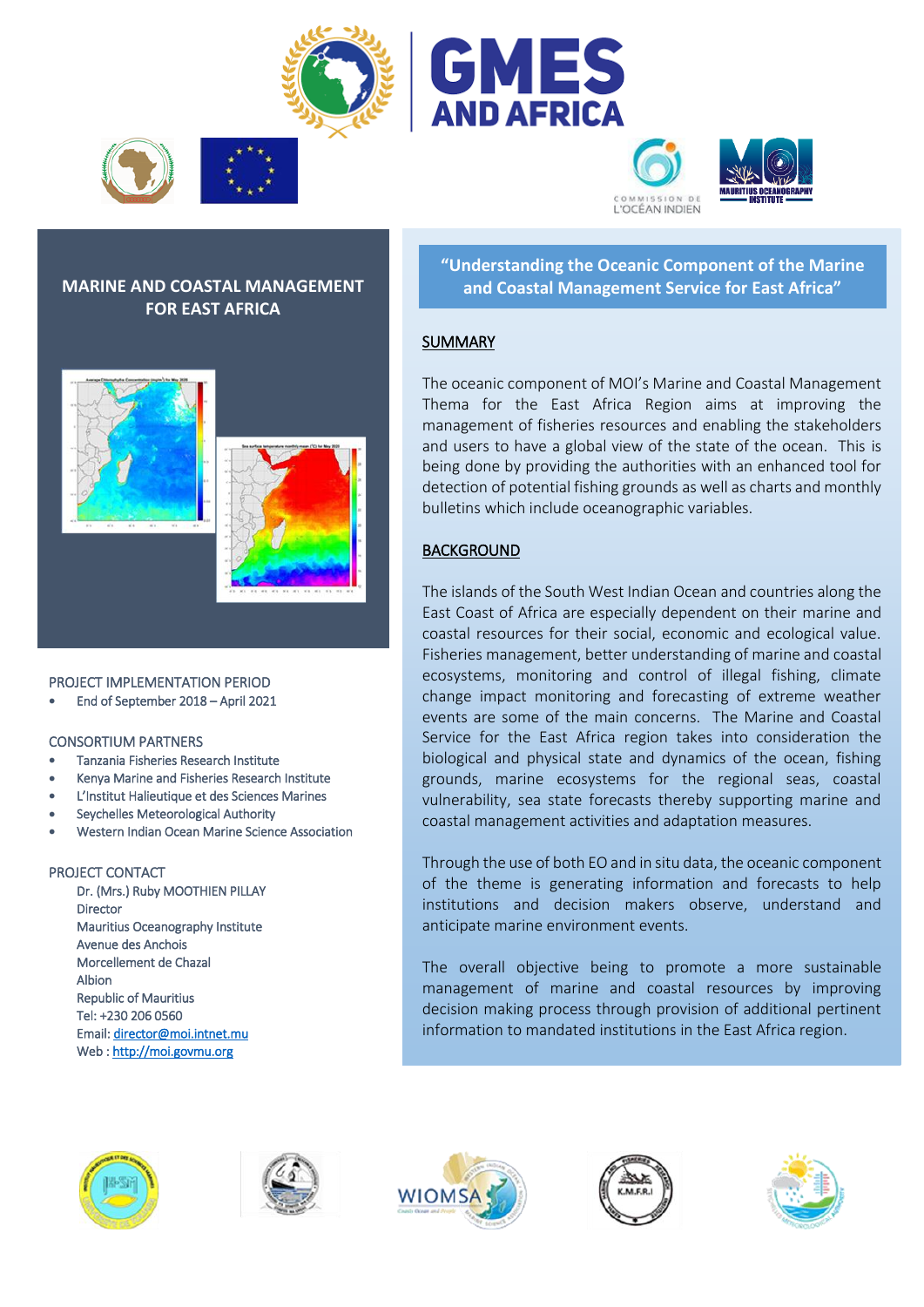





'OCÉAN INDIEN







### PROJECT IMPLEMENTATION PERIOD

End of September 2018 – April 2021

### CONSORTIUM PARTNERS

- Tanzania Fisheries Research Institute
- Kenya Marine and Fisheries Research Institute
- L'Institut Halieutique et des Sciences Marines
- Seychelles Meteorological Authority
- Western Indian Ocean Marine Science Association

### PROJECT CONTACT

 Dr. (Mrs.) Ruby MOOTHIEN PILLAY Director Mauritius Oceanography Institute Avenue des Anchois Morcellement de Chazal Albion Republic of Mauritius Tel: +230 206 0560 Email[: director@moi.intnet.mu](mailto:director@moi.intnet.mu)  Web [: http://moi.govmu.org](http://moi.govmu.org/) 











**"Understanding the Oceanic Component of the Marine MARINE AND COASTAL MANAGEMENT and Coastal Management Service for East Africa"**

## SUMMARY

The oceanic component of MOI's Marine and Coastal Management Thema for the East Africa Region aims at improving the management of fisheries resources and enabling the stakeholders and users to have a global view of the state of the ocean. This is being done by providing the authorities with an enhanced tool for detection of potential fishing grounds as well as charts and monthly bulletins which include oceanographic variables.

# BACKGROUND

The islands of the South West Indian Ocean and countries along the East Coast of Africa are especially dependent on their marine and coastal resources for their social, economic and ecological value. Fisheries management, better understanding of marine and coastal ecosystems, monitoring and control of illegal fishing, climate change impact monitoring and forecasting of extreme weather events are some of the main concerns. The Marine and Coastal Service for the East Africa region takes into consideration the biological and physical state and dynamics of the ocean, fishing grounds, marine ecosystems for the regional seas, coastal vulnerability, sea state forecasts thereby supporting marine and coastal management activities and adaptation measures.

Through the use of both EO and in situ data, the oceanic component of the theme is generating information and forecasts to help institutions and decision makers observe, understand and anticipate marine environment events.

The overall objective being to promote a more sustainable management of marine and coastal resources by improving decision making process through provision of additional pertinent information to mandated institutions in the East Africa region.